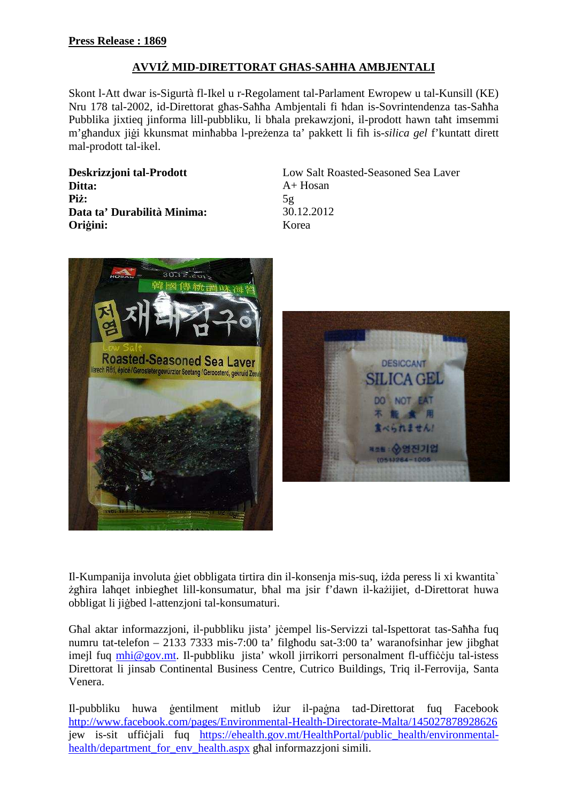## **AVVI**ś **MID-DIRETTORAT G**Ħ**AS-SA**ĦĦ**A AMBJENTALI**

Skont l-Att dwar is-Sigurtà fl-Ikel u r-Regolament tal-Parlament Ewropew u tal-Kunsill (KE) Nru 178 tal-2002, id-Direttorat għas-Saħħa Ambjentali fi ħdan is-Sovrintendenza tas-Saħħa Pubblika jixtieq jinforma lill-pubbliku, li bħala prekawzjoni, il-prodott hawn taħt imsemmi m'għandux jigi kkunsmat minħabba l-preżenza ta' pakkett li fih is-*silica gel* f'kuntatt dirett mal-prodott tal-ikel.

**Ditta:** A+ Hosan **Piz:**  $5g$ **Data ta' Durabilità Minima:** 30.12.2012 **Ori**ā**ini:** Korea

**Deskrizzjoni tal-Prodott** Low Salt Roasted-Seasoned Sea Laver





Il-Kumpanija involuta ģiet obbligata tirtira din il-konsenja mis-suq, izda peress li xi kwantita` zghira laħqet inbiegħet lill-konsumatur, bħal ma jsir f'dawn il-każijiet, d-Direttorat huwa obbligat li jiābed l-attenzjoni tal-konsumaturi.

Għal aktar informazzjoni, il-pubbliku jista' jëempel lis-Servizzi tal-Ispettorat tas-Saħħa fuq numru tat-telefon – 2133 7333 mis-7:00 ta' filgħodu sat-3:00 ta' waranofsinhar jew jibgħat imejl fuq mhi@gov.mt. Il-pubbliku jista' wkoll jirrikorri personalment fl-ufficcju tal-istess Direttorat li jinsab Continental Business Centre, Cutrico Buildings, Triq il-Ferrovija, Santa Venera.

Il-pubbliku huwa gentilment mitlub iżur il-pagna tad-Direttorat fuq Facebook http://www.facebook.com/pages/Environmental-Health-Directorate-Malta/145027878928626 jew is-sit ufficjali fuq https://ehealth.gov.mt/HealthPortal/public\_health/environmentalhealth/department for env health.aspx għal informazzjoni simili.